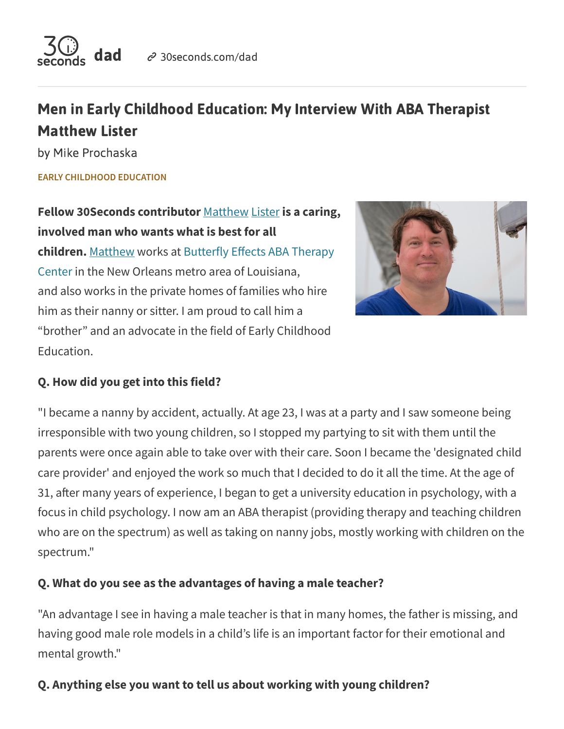

# Men in Early Childhood Education: My Interview With ABA Therapist Matthew Lister

by Mike Prochaska

**EARLY [CHILDHOOD EDUCATION](https://30seconds.com/dad/category/early-childhood-education/)**

**Fellow 30Seconds contributor** [Matthew](https://30seconds.com/MLister/) Lister **is a caring, involved man who wants what is best for all children.** [Matthew](https://www.facebook.com/MannyPoppins/) works at Butterfly Effects ABA Therapy Center in the New Orleans metro area of [Louisiana,](http://butterflyeffects.com/) and also works in the private homes of families who hire him as their nanny or sitter. I am proud to call him a "brother" and an advocate in the field of Early Childhood Education.



#### **Q. How did you get into this field?**

"I became a nanny by accident, actually. At age 23, I was at a party and I saw someone being irresponsible with two young children, so I stopped my partying to sit with them until the parents were once again able to take over with their care. Soon I became the 'designated child care provider' and enjoyed the work so much that I decided to do it all the time. At the age of 31, after many years of experience, I began to get a university education in psychology, with a focus in child psychology. I now am an ABA therapist (providing therapy and teaching children who are on the spectrum) as well as taking on nanny jobs, mostly working with children on the spectrum."

#### **Q. What do you see as the advantages of having a male teacher?**

"An advantage I see in having a male teacher is that in many homes, the father is missing, and having good male role models in a child's life is an important factor for their emotional and mental growth."

# **Q. Anything else you want to tell us about working with young children?**